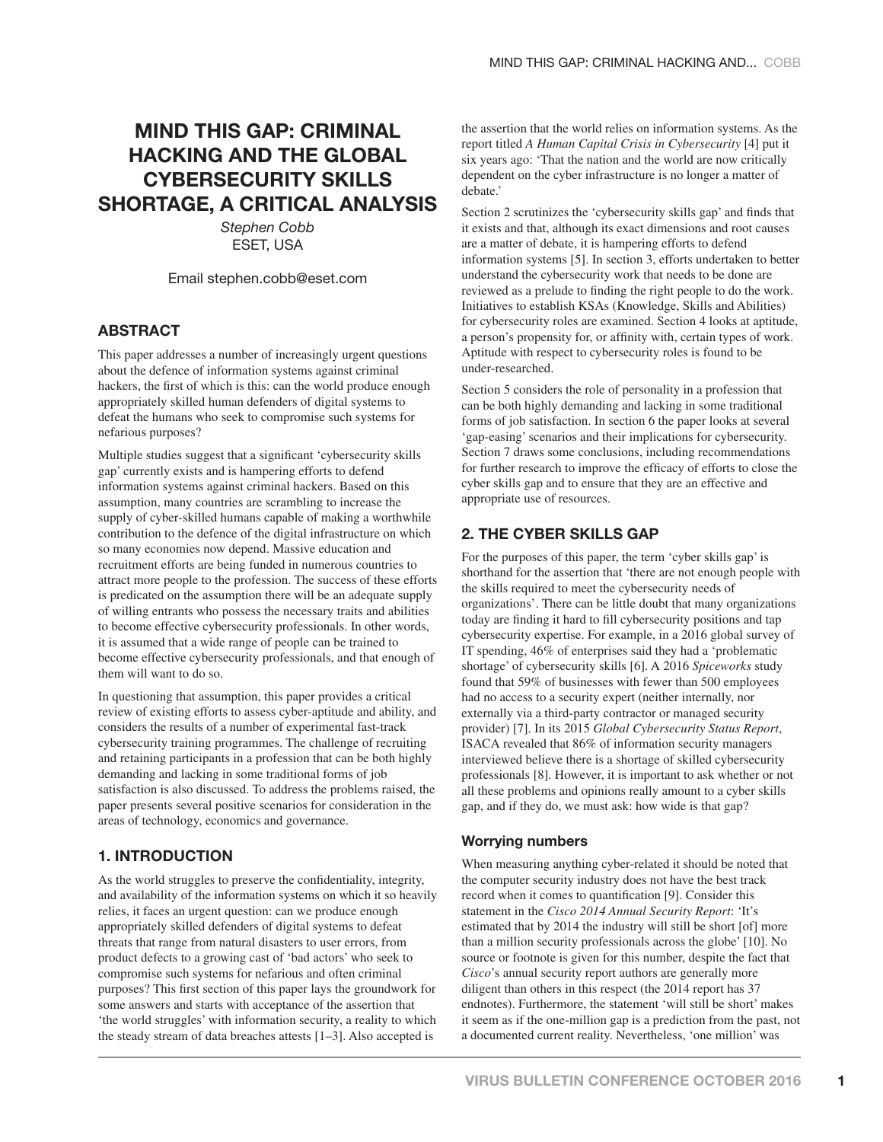# **MIND THIS GAP: CRIMINAL HACKING AND THE GLOBAL CYBERSECURITY SKILLS SHORTAGE, A CRITICAL ANALYSIS**

*Stephen Cobb* ESET, USA

Email stephen.cobb@eset.com

#### **ABSTRACT**

This paper addresses a number of increasingly urgent questions about the defence of information systems against criminal hackers, the first of which is this: can the world produce enough appropriately skilled human defenders of digital systems to defeat the humans who seek to compromise such systems for nefarious purposes?

Multiple studies suggest that a significant 'cybersecurity skills gap' currently exists and is hampering efforts to defend information systems against criminal hackers. Based on this assumption, many countries are scrambling to increase the supply of cyber-skilled humans capable of making a worthwhile contribution to the defence of the digital infrastructure on which so many economies now depend. Massive education and recruitment efforts are being funded in numerous countries to attract more people to the profession. The success of these efforts is predicated on the assumption there will be an adequate supply of willing entrants who possess the necessary traits and abilities to become effective cybersecurity professionals. In other words, it is assumed that a wide range of people can be trained to become effective cybersecurity professionals, and that enough of them will want to do so.

In questioning that assumption, this paper provides a critical review of existing efforts to assess cyber-aptitude and ability, and considers the results of a number of experimental fast-track cybersecurity training programmes. The challenge of recruiting and retaining participants in a profession that can be both highly demanding and lacking in some traditional forms of job satisfaction is also discussed. To address the problems raised, the paper presents several positive scenarios for consideration in the areas of technology, economics and governance.

# **1. INTRODUCTION**

As the world struggles to preserve the confidentiality, integrity, and availability of the information systems on which it so heavily relies, it faces an urgent question: can we produce enough appropriately skilled defenders of digital systems to defeat threats that range from natural disasters to user errors, from product defects to a growing cast of 'bad actors' who seek to compromise such systems for nefarious and often criminal purposes? This first section of this paper lays the groundwork for some answers and starts with acceptance of the assertion that 'the world struggles' with information security, a reality to which the steady stream of data breaches attests [1–3]. Also accepted is

the assertion that the world relies on information systems. As the report titled *A Human Capital Crisis in Cybersecurity* [4] put it six years ago: 'That the nation and the world are now critically dependent on the cyber infrastructure is no longer a matter of debate.'

Section 2 scrutinizes the 'cybersecurity skills gap' and finds that it exists and that, although its exact dimensions and root causes are a matter of debate, it is hampering efforts to defend information systems [5]. In section 3, efforts undertaken to better understand the cybersecurity work that needs to be done are reviewed as a prelude to finding the right people to do the work. Initiatives to establish KSAs (Knowledge, Skills and Abilities) for cybersecurity roles are examined. Section 4 looks at aptitude, a person's propensity for, or affinity with, certain types of work. Aptitude with respect to cybersecurity roles is found to be under-researched.

Section 5 considers the role of personality in a profession that can be both highly demanding and lacking in some traditional forms of job satisfaction. In section 6 the paper looks at several 'gap-easing' scenarios and their implications for cybersecurity. Section 7 draws some conclusions, including recommendations for further research to improve the efficacy of efforts to close the cyber skills gap and to ensure that they are an effective and appropriate use of resources.

## **2. THE CYBER SKILLS GAP**

For the purposes of this paper, the term 'cyber skills gap' is shorthand for the assertion that 'there are not enough people with the skills required to meet the cybersecurity needs of organizations'. There can be little doubt that many organizations today are finding it hard to fill cybersecurity positions and tap cybersecurity expertise. For example, in a 2016 global survey of IT spending, 46% of enterprises said they had a 'problematic shortage' of cybersecurity skills [6]. A 2016 *Spiceworks* study found that 59% of businesses with fewer than 500 employees had no access to a security expert (neither internally, nor externally via a third-party contractor or managed security provider) [7]. In its 2015 *Global Cybersecurity Status Report*, ISACA revealed that 86% of information security managers interviewed believe there is a shortage of skilled cybersecurity professionals [8]. However, it is important to ask whether or not all these problems and opinions really amount to a cyber skills gap, and if they do, we must ask: how wide is that gap?

#### **Worrying numbers**

When measuring anything cyber-related it should be noted that the computer security industry does not have the best track record when it comes to quantification [9]. Consider this statement in the *Cisco 2014 Annual Security Report*: 'It's estimated that by 2014 the industry will still be short [of] more than a million security professionals across the globe' [10]. No source or footnote is given for this number, despite the fact that *Cisco*'s annual security report authors are generally more diligent than others in this respect (the 2014 report has 37 endnotes). Furthermore, the statement 'will still be short' makes it seem as if the one-million gap is a prediction from the past, not a documented current reality. Nevertheless, 'one million' was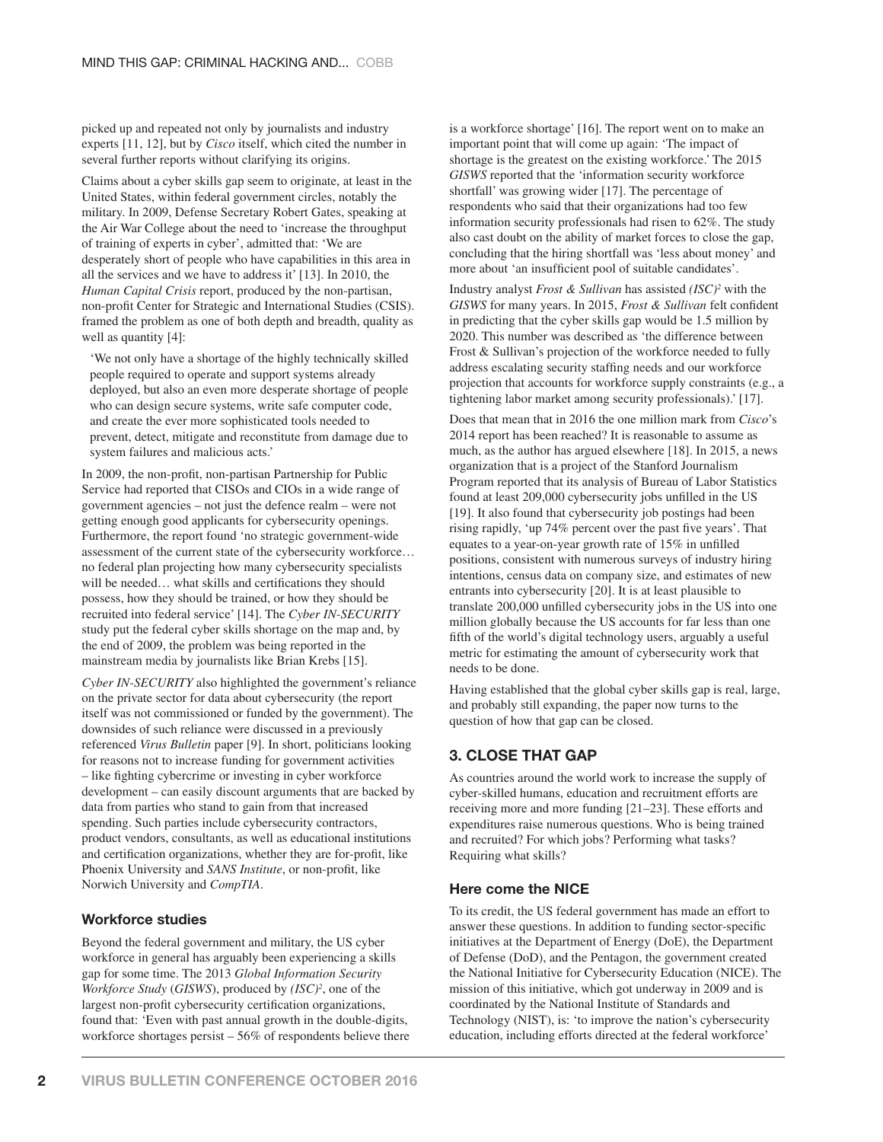picked up and repeated not only by journalists and industry experts [11, 12], but by *Cisco* itself, which cited the number in several further reports without clarifying its origins.

Claims about a cyber skills gap seem to originate, at least in the United States, within federal government circles, notably the military. In 2009, Defense Secretary Robert Gates, speaking at the Air War College about the need to 'increase the throughput of training of experts in cyber', admitted that: 'We are desperately short of people who have capabilities in this area in all the services and we have to address it' [13]. In 2010, the *Human Capital Crisis* report, produced by the non-partisan, non-profit Center for Strategic and International Studies (CSIS). framed the problem as one of both depth and breadth, quality as well as quantity [4]:

'We not only have a shortage of the highly technically skilled people required to operate and support systems already deployed, but also an even more desperate shortage of people who can design secure systems, write safe computer code, and create the ever more sophisticated tools needed to prevent, detect, mitigate and reconstitute from damage due to system failures and malicious acts.'

In 2009, the non-profit, non-partisan Partnership for Public Service had reported that CISOs and CIOs in a wide range of government agencies – not just the defence realm – were not getting enough good applicants for cybersecurity openings. Furthermore, the report found 'no strategic government-wide assessment of the current state of the cybersecurity workforce… no federal plan projecting how many cybersecurity specialists will be needed... what skills and certifications they should possess, how they should be trained, or how they should be recruited into federal service' [14]. The *Cyber IN-SECURITY* study put the federal cyber skills shortage on the map and, by the end of 2009, the problem was being reported in the mainstream media by journalists like Brian Krebs [15].

*Cyber IN-SECURITY* also highlighted the government's reliance on the private sector for data about cybersecurity (the report itself was not commissioned or funded by the government). The downsides of such reliance were discussed in a previously referenced *Virus Bulletin* paper [9]. In short, politicians looking for reasons not to increase funding for government activities – like fighting cybercrime or investing in cyber workforce development – can easily discount arguments that are backed by data from parties who stand to gain from that increased spending. Such parties include cybersecurity contractors, product vendors, consultants, as well as educational institutions and certification organizations, whether they are for-profit, like Phoenix University and *SANS Institute*, or non-profit, like Norwich University and *CompTIA*.

#### **Workforce studies**

Beyond the federal government and military, the US cyber workforce in general has arguably been experiencing a skills gap for some time. The 2013 *Global Information Security Workforce Study (GISWS)*, produced by  $(ISC)^2$ , one of the largest non-profit cybersecurity certification organizations, found that: 'Even with past annual growth in the double-digits, workforce shortages persist – 56% of respondents believe there is a workforce shortage' [16]. The report went on to make an important point that will come up again: 'The impact of shortage is the greatest on the existing workforce.' The 2015 *GISWS* reported that the 'information security workforce shortfall' was growing wider [17]. The percentage of respondents who said that their organizations had too few information security professionals had risen to 62%. The study also cast doubt on the ability of market forces to close the gap, concluding that the hiring shortfall was 'less about money' and more about 'an insufficient pool of suitable candidates'.

Industry analyst *Frost & Sullivan* has assisted *(ISC)2* with the *GISWS* for many years. In 2015, *Frost & Sullivan* felt confident in predicting that the cyber skills gap would be 1.5 million by 2020. This number was described as 'the difference between Frost & Sullivan's projection of the workforce needed to fully address escalating security staffing needs and our workforce projection that accounts for workforce supply constraints (e.g., a tightening labor market among security professionals).' [17].

Does that mean that in 2016 the one million mark from *Cisco*'s 2014 report has been reached? It is reasonable to assume as much, as the author has argued elsewhere [18]. In 2015, a news organization that is a project of the Stanford Journalism Program reported that its analysis of Bureau of Labor Statistics found at least 209,000 cybersecurity jobs unfilled in the US [19]. It also found that cybersecurity job postings had been rising rapidly, 'up 74% percent over the past five years'. That equates to a year-on-year growth rate of  $15\%$  in unfilled positions, consistent with numerous surveys of industry hiring intentions, census data on company size, and estimates of new entrants into cybersecurity [20]. It is at least plausible to translate 200,000 unfilled cybersecurity jobs in the US into one million globally because the US accounts for far less than one fifth of the world's digital technology users, arguably a useful metric for estimating the amount of cybersecurity work that needs to be done.

Having established that the global cyber skills gap is real, large, and probably still expanding, the paper now turns to the question of how that gap can be closed.

# **3. CLOSE THAT GAP**

As countries around the world work to increase the supply of cyber-skilled humans, education and recruitment efforts are receiving more and more funding [21–23]. These efforts and expenditures raise numerous questions. Who is being trained and recruited? For which jobs? Performing what tasks? Requiring what skills?

#### **Here come the NICE**

To its credit, the US federal government has made an effort to answer these questions. In addition to funding sector-specific initiatives at the Department of Energy (DoE), the Department of Defense (DoD), and the Pentagon, the government created the National Initiative for Cybersecurity Education (NICE). The mission of this initiative, which got underway in 2009 and is coordinated by the National Institute of Standards and Technology (NIST), is: 'to improve the nation's cybersecurity education, including efforts directed at the federal workforce'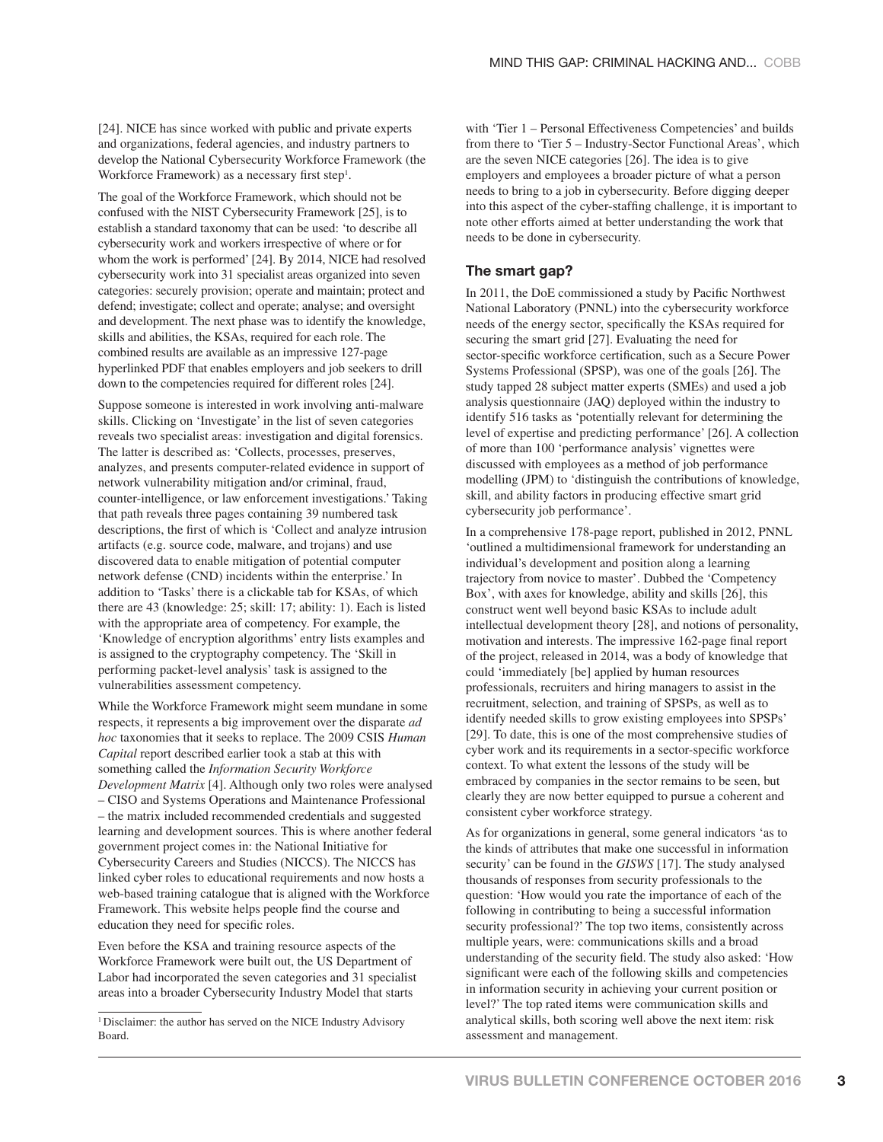[24]. NICE has since worked with public and private experts and organizations, federal agencies, and industry partners to develop the National Cybersecurity Workforce Framework (the Workforce Framework) as a necessary first step<sup>1</sup>.

The goal of the Workforce Framework, which should not be confused with the NIST Cybersecurity Framework [25], is to establish a standard taxonomy that can be used: 'to describe all cybersecurity work and workers irrespective of where or for whom the work is performed' [24]. By 2014, NICE had resolved cybersecurity work into 31 specialist areas organized into seven categories: securely provision; operate and maintain; protect and defend; investigate; collect and operate; analyse; and oversight and development. The next phase was to identify the knowledge, skills and abilities, the KSAs, required for each role. The combined results are available as an impressive 127-page hyperlinked PDF that enables employers and job seekers to drill down to the competencies required for different roles [24].

Suppose someone is interested in work involving anti-malware skills. Clicking on 'Investigate' in the list of seven categories reveals two specialist areas: investigation and digital forensics. The latter is described as: 'Collects, processes, preserves, analyzes, and presents computer-related evidence in support of network vulnerability mitigation and/or criminal, fraud, counter-intelligence, or law enforcement investigations.' Taking that path reveals three pages containing 39 numbered task descriptions, the first of which is 'Collect and analyze intrusion artifacts (e.g. source code, malware, and trojans) and use discovered data to enable mitigation of potential computer network defense (CND) incidents within the enterprise.' In addition to 'Tasks' there is a clickable tab for KSAs, of which there are 43 (knowledge: 25; skill: 17; ability: 1). Each is listed with the appropriate area of competency. For example, the 'Knowledge of encryption algorithms' entry lists examples and is assigned to the cryptography competency. The 'Skill in performing packet-level analysis' task is assigned to the vulnerabilities assessment competency.

While the Workforce Framework might seem mundane in some respects, it represents a big improvement over the disparate *ad hoc* taxonomies that it seeks to replace. The 2009 CSIS *Human Capital* report described earlier took a stab at this with something called the *Information Security Workforce Development Matrix* [4]. Although only two roles were analysed – CISO and Systems Operations and Maintenance Professional – the matrix included recommended credentials and suggested learning and development sources. This is where another federal government project comes in: the National Initiative for Cybersecurity Careers and Studies (NICCS). The NICCS has linked cyber roles to educational requirements and now hosts a web-based training catalogue that is aligned with the Workforce Framework. This website helps people find the course and education they need for specific roles.

Even before the KSA and training resource aspects of the Workforce Framework were built out, the US Department of Labor had incorporated the seven categories and 31 specialist areas into a broader Cybersecurity Industry Model that starts

with 'Tier 1 – Personal Effectiveness Competencies' and builds from there to 'Tier 5 – Industry-Sector Functional Areas', which are the seven NICE categories [26]. The idea is to give employers and employees a broader picture of what a person needs to bring to a job in cybersecurity. Before digging deeper into this aspect of the cyber-staffing challenge, it is important to note other efforts aimed at better understanding the work that needs to be done in cybersecurity.

### **The smart gap?**

In 2011, the DoE commissioned a study by Pacific Northwest National Laboratory (PNNL) into the cybersecurity workforce needs of the energy sector, specifically the KSAs required for securing the smart grid [27]. Evaluating the need for sector-specific workforce certification, such as a Secure Power Systems Professional (SPSP), was one of the goals [26]. The study tapped 28 subject matter experts (SMEs) and used a job analysis questionnaire (JAQ) deployed within the industry to identify 516 tasks as 'potentially relevant for determining the level of expertise and predicting performance' [26]. A collection of more than 100 'performance analysis' vignettes were discussed with employees as a method of job performance modelling (JPM) to 'distinguish the contributions of knowledge, skill, and ability factors in producing effective smart grid cybersecurity job performance'.

In a comprehensive 178-page report, published in 2012, PNNL 'outlined a multidimensional framework for understanding an individual's development and position along a learning trajectory from novice to master'. Dubbed the 'Competency Box', with axes for knowledge, ability and skills [26], this construct went well beyond basic KSAs to include adult intellectual development theory [28], and notions of personality, motivation and interests. The impressive 162-page final report of the project, released in 2014, was a body of knowledge that could 'immediately [be] applied by human resources professionals, recruiters and hiring managers to assist in the recruitment, selection, and training of SPSPs, as well as to identify needed skills to grow existing employees into SPSPs' [29]. To date, this is one of the most comprehensive studies of cyber work and its requirements in a sector-specific workforce context. To what extent the lessons of the study will be embraced by companies in the sector remains to be seen, but clearly they are now better equipped to pursue a coherent and consistent cyber workforce strategy.

As for organizations in general, some general indicators 'as to the kinds of attributes that make one successful in information security' can be found in the *GISWS* [17]. The study analysed thousands of responses from security professionals to the question: 'How would you rate the importance of each of the following in contributing to being a successful information security professional?' The top two items, consistently across multiple years, were: communications skills and a broad understanding of the security field. The study also asked: 'How significant were each of the following skills and competencies in information security in achieving your current position or level?' The top rated items were communication skills and analytical skills, both scoring well above the next item: risk assessment and management.

<sup>&</sup>lt;sup>1</sup> Disclaimer: the author has served on the NICE Industry Advisory Board.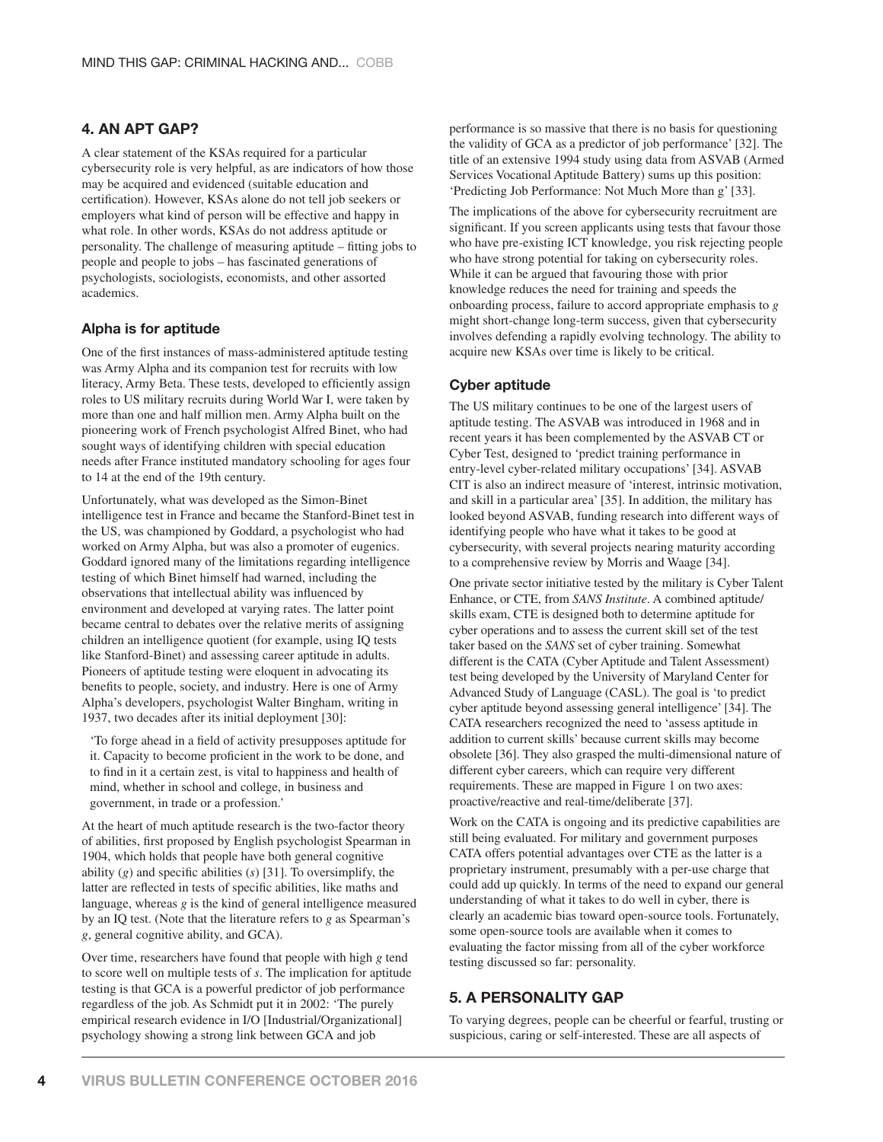## **4. AN APT GAP?**

A clear statement of the KSAs required for a particular cybersecurity role is very helpful, as are indicators of how those may be acquired and evidenced (suitable education and certification). However, KSAs alone do not tell job seekers or employers what kind of person will be effective and happy in what role. In other words, KSAs do not address aptitude or personality. The challenge of measuring aptitude – fitting jobs to people and people to jobs – has fascinated generations of psychologists, sociologists, economists, and other assorted academics.

## **Alpha is for aptitude**

One of the first instances of mass-administered aptitude testing was Army Alpha and its companion test for recruits with low literacy, Army Beta. These tests, developed to efficiently assign roles to US military recruits during World War I, were taken by more than one and half million men. Army Alpha built on the pioneering work of French psychologist Alfred Binet, who had sought ways of identifying children with special education needs after France instituted mandatory schooling for ages four to 14 at the end of the 19th century.

Unfortunately, what was developed as the Simon-Binet intelligence test in France and became the Stanford-Binet test in the US, was championed by Goddard, a psychologist who had worked on Army Alpha, but was also a promoter of eugenics. Goddard ignored many of the limitations regarding intelligence testing of which Binet himself had warned, including the observations that intellectual ability was influenced by environment and developed at varying rates. The latter point became central to debates over the relative merits of assigning children an intelligence quotient (for example, using IQ tests like Stanford-Binet) and assessing career aptitude in adults. Pioneers of aptitude testing were eloquent in advocating its benefits to people, society, and industry. Here is one of Army Alpha's developers, psychologist Walter Bingham, writing in 1937, two decades after its initial deployment [30]:

'To forge ahead in a field of activity presupposes aptitude for it. Capacity to become proficient in the work to be done, and to find in it a certain zest, is vital to happiness and health of mind, whether in school and college, in business and government, in trade or a profession.'

At the heart of much aptitude research is the two-factor theory of abilities, first proposed by English psychologist Spearman in 1904, which holds that people have both general cognitive ability  $(g)$  and specific abilities  $(s)$  [31]. To oversimplify, the latter are reflected in tests of specific abilities, like maths and language, whereas *g* is the kind of general intelligence measured by an IQ test. (Note that the literature refers to *g* as Spearman's *g*, general cognitive ability, and GCA).

Over time, researchers have found that people with high *g* tend to score well on multiple tests of *s*. The implication for aptitude testing is that GCA is a powerful predictor of job performance regardless of the job. As Schmidt put it in 2002: 'The purely empirical research evidence in I/O [Industrial/Organizational] psychology showing a strong link between GCA and job

performance is so massive that there is no basis for questioning the validity of GCA as a predictor of job performance' [32]. The title of an extensive 1994 study using data from ASVAB (Armed Services Vocational Aptitude Battery) sums up this position: 'Predicting Job Performance: Not Much More than g' [33].

The implications of the above for cybersecurity recruitment are significant. If you screen applicants using tests that favour those who have pre-existing ICT knowledge, you risk rejecting people who have strong potential for taking on cybersecurity roles. While it can be argued that favouring those with prior knowledge reduces the need for training and speeds the onboarding process, failure to accord appropriate emphasis to *g* might short-change long-term success, given that cybersecurity involves defending a rapidly evolving technology. The ability to acquire new KSAs over time is likely to be critical.

#### **Cyber aptitude**

The US military continues to be one of the largest users of aptitude testing. The ASVAB was introduced in 1968 and in recent years it has been complemented by the ASVAB CT or Cyber Test, designed to 'predict training performance in entry-level cyber-related military occupations' [34]. ASVAB CIT is also an indirect measure of 'interest, intrinsic motivation, and skill in a particular area' [35]. In addition, the military has looked beyond ASVAB, funding research into different ways of identifying people who have what it takes to be good at cybersecurity, with several projects nearing maturity according to a comprehensive review by Morris and Waage [34].

One private sector initiative tested by the military is Cyber Talent Enhance, or CTE, from *SANS Institute*. A combined aptitude/ skills exam, CTE is designed both to determine aptitude for cyber operations and to assess the current skill set of the test taker based on the *SANS* set of cyber training. Somewhat different is the CATA (Cyber Aptitude and Talent Assessment) test being developed by the University of Maryland Center for Advanced Study of Language (CASL). The goal is 'to predict cyber aptitude beyond assessing general intelligence' [34]. The CATA researchers recognized the need to 'assess aptitude in addition to current skills' because current skills may become obsolete [36]. They also grasped the multi-dimensional nature of different cyber careers, which can require very different requirements. These are mapped in Figure 1 on two axes: proactive/reactive and real-time/deliberate [37].

Work on the CATA is ongoing and its predictive capabilities are still being evaluated. For military and government purposes CATA offers potential advantages over CTE as the latter is a proprietary instrument, presumably with a per-use charge that could add up quickly. In terms of the need to expand our general understanding of what it takes to do well in cyber, there is clearly an academic bias toward open-source tools. Fortunately, some open-source tools are available when it comes to evaluating the factor missing from all of the cyber workforce testing discussed so far: personality.

## **5. A PERSONALITY GAP**

To varying degrees, people can be cheerful or fearful, trusting or suspicious, caring or self-interested. These are all aspects of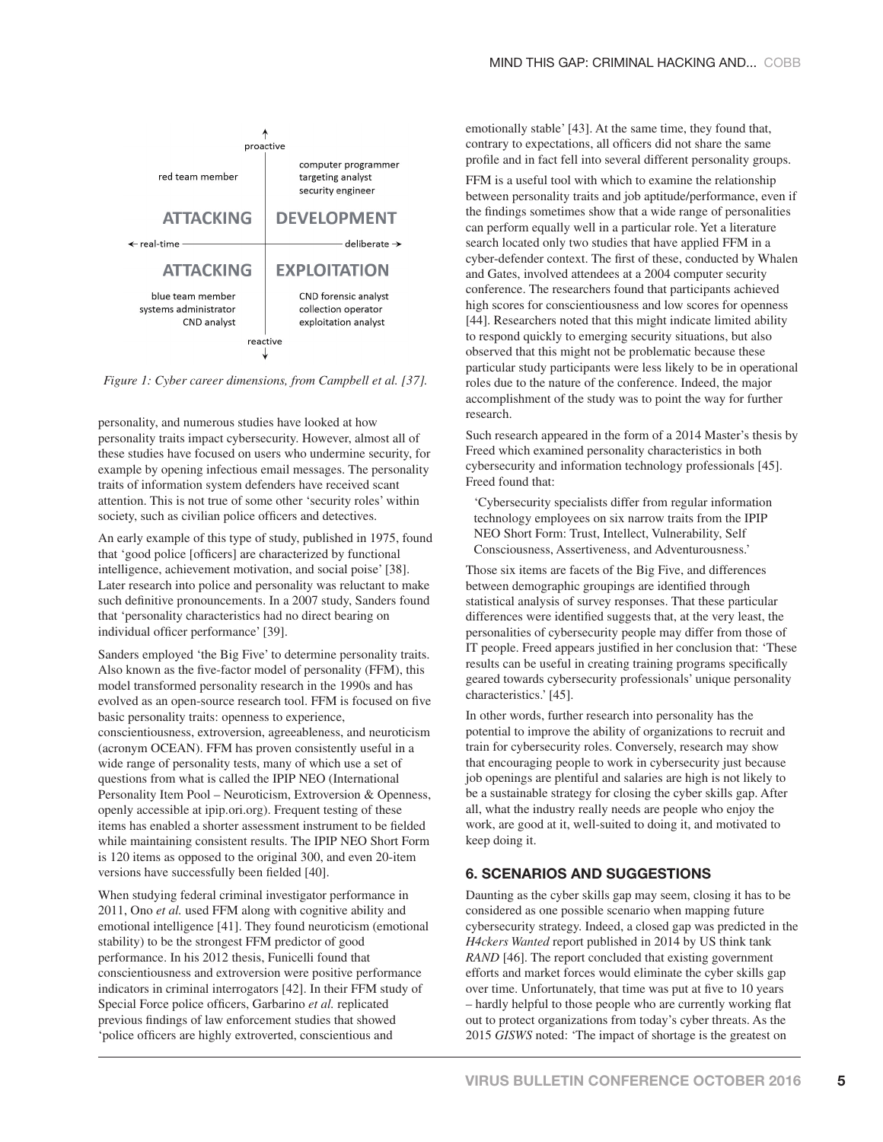

*Figure 1: Cyber career dimensions, from Campbell et al. [37].*

personality, and numerous studies have looked at how personality traits impact cybersecurity. However, almost all of these studies have focused on users who undermine security, for example by opening infectious email messages. The personality traits of information system defenders have received scant attention. This is not true of some other 'security roles' within society, such as civilian police officers and detectives.

An early example of this type of study, published in 1975, found that 'good police [officers] are characterized by functional intelligence, achievement motivation, and social poise' [38]. Later research into police and personality was reluctant to make such definitive pronouncements. In a 2007 study, Sanders found that 'personality characteristics had no direct bearing on individual officer performance' [39].

Sanders employed 'the Big Five' to determine personality traits. Also known as the five-factor model of personality (FFM), this model transformed personality research in the 1990s and has evolved as an open-source research tool. FFM is focused on five basic personality traits: openness to experience, conscientiousness, extroversion, agreeableness, and neuroticism (acronym OCEAN). FFM has proven consistently useful in a wide range of personality tests, many of which use a set of questions from what is called the IPIP NEO (International Personality Item Pool – Neuroticism, Extroversion & Openness, openly accessible at ipip.ori.org). Frequent testing of these items has enabled a shorter assessment instrument to be fielded while maintaining consistent results. The IPIP NEO Short Form is 120 items as opposed to the original 300, and even 20-item versions have successfully been fielded [40].

When studying federal criminal investigator performance in 2011, Ono *et al.* used FFM along with cognitive ability and emotional intelligence [41]. They found neuroticism (emotional stability) to be the strongest FFM predictor of good performance. In his 2012 thesis, Funicelli found that conscientiousness and extroversion were positive performance indicators in criminal interrogators [42]. In their FFM study of Special Force police officers, Garbarino *et al.* replicated previous findings of law enforcement studies that showed 'police officers are highly extroverted, conscientious and

emotionally stable' [43]. At the same time, they found that, contrary to expectations, all officers did not share the same profile and in fact fell into several different personality groups.

FFM is a useful tool with which to examine the relationship between personality traits and job aptitude/performance, even if the findings sometimes show that a wide range of personalities can perform equally well in a particular role. Yet a literature search located only two studies that have applied FFM in a cyber-defender context. The first of these, conducted by Whalen and Gates, involved attendees at a 2004 computer security conference. The researchers found that participants achieved high scores for conscientiousness and low scores for openness [44]. Researchers noted that this might indicate limited ability to respond quickly to emerging security situations, but also observed that this might not be problematic because these particular study participants were less likely to be in operational roles due to the nature of the conference. Indeed, the major accomplishment of the study was to point the way for further research.

Such research appeared in the form of a 2014 Master's thesis by Freed which examined personality characteristics in both cybersecurity and information technology professionals [45]. Freed found that:

'Cybersecurity specialists differ from regular information technology employees on six narrow traits from the IPIP NEO Short Form: Trust, Intellect, Vulnerability, Self Consciousness, Assertiveness, and Adventurousness.'

Those six items are facets of the Big Five, and differences between demographic groupings are identified through statistical analysis of survey responses. That these particular differences were identified suggests that, at the very least, the personalities of cybersecurity people may differ from those of IT people. Freed appears justified in her conclusion that: 'These results can be useful in creating training programs specifically geared towards cybersecurity professionals' unique personality characteristics.' [45].

In other words, further research into personality has the potential to improve the ability of organizations to recruit and train for cybersecurity roles. Conversely, research may show that encouraging people to work in cybersecurity just because job openings are plentiful and salaries are high is not likely to be a sustainable strategy for closing the cyber skills gap. After all, what the industry really needs are people who enjoy the work, are good at it, well-suited to doing it, and motivated to keep doing it.

### **6. SCENARIOS AND SUGGESTIONS**

Daunting as the cyber skills gap may seem, closing it has to be considered as one possible scenario when mapping future cybersecurity strategy. Indeed, a closed gap was predicted in the *H4ckers Wanted* report published in 2014 by US think tank *RAND* [46]. The report concluded that existing government efforts and market forces would eliminate the cyber skills gap over time. Unfortunately, that time was put at five to 10 years – hardly helpful to those people who are currently working flat out to protect organizations from today's cyber threats. As the 2015 *GISWS* noted: 'The impact of shortage is the greatest on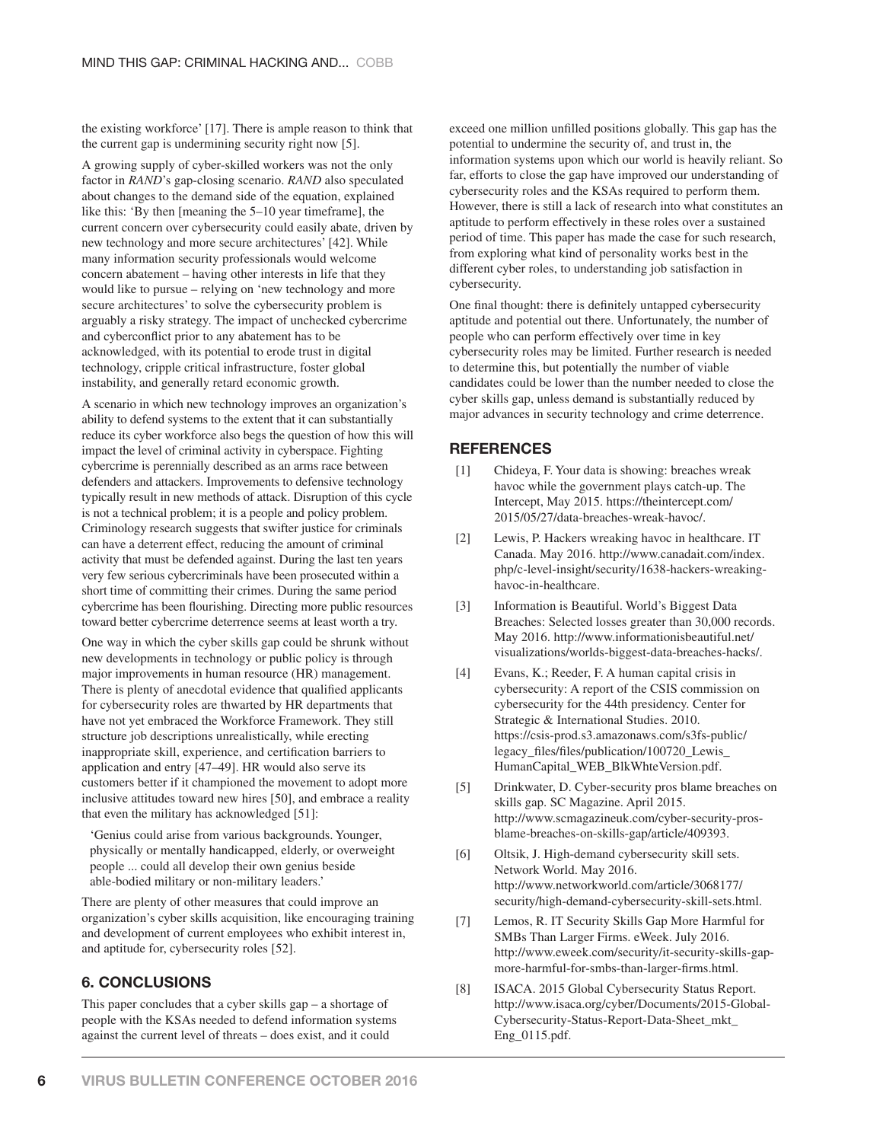the existing workforce' [17]. There is ample reason to think that the current gap is undermining security right now [5].

A growing supply of cyber-skilled workers was not the only factor in *RAND*'s gap-closing scenario. *RAND* also speculated about changes to the demand side of the equation, explained like this: 'By then [meaning the 5–10 year timeframe], the current concern over cybersecurity could easily abate, driven by new technology and more secure architectures' [42]. While many information security professionals would welcome concern abatement – having other interests in life that they would like to pursue – relying on 'new technology and more secure architectures' to solve the cybersecurity problem is arguably a risky strategy. The impact of unchecked cybercrime and cyberconflict prior to any abatement has to be acknowledged, with its potential to erode trust in digital technology, cripple critical infrastructure, foster global instability, and generally retard economic growth.

A scenario in which new technology improves an organization's ability to defend systems to the extent that it can substantially reduce its cyber workforce also begs the question of how this will impact the level of criminal activity in cyberspace. Fighting cybercrime is perennially described as an arms race between defenders and attackers. Improvements to defensive technology typically result in new methods of attack. Disruption of this cycle is not a technical problem; it is a people and policy problem. Criminology research suggests that swifter justice for criminals can have a deterrent effect, reducing the amount of criminal activity that must be defended against. During the last ten years very few serious cybercriminals have been prosecuted within a short time of committing their crimes. During the same period cybercrime has been flourishing. Directing more public resources toward better cybercrime deterrence seems at least worth a try.

One way in which the cyber skills gap could be shrunk without new developments in technology or public policy is through major improvements in human resource (HR) management. There is plenty of anecdotal evidence that qualified applicants for cybersecurity roles are thwarted by HR departments that have not yet embraced the Workforce Framework. They still structure job descriptions unrealistically, while erecting inappropriate skill, experience, and certification barriers to application and entry [47–49]. HR would also serve its customers better if it championed the movement to adopt more inclusive attitudes toward new hires [50], and embrace a reality that even the military has acknowledged [51]:

'Genius could arise from various backgrounds. Younger, physically or mentally handicapped, elderly, or overweight people ... could all develop their own genius beside able-bodied military or non-military leaders.'

There are plenty of other measures that could improve an organization's cyber skills acquisition, like encouraging training and development of current employees who exhibit interest in, and aptitude for, cybersecurity roles [52].

#### **6. CONCLUSIONS**

This paper concludes that a cyber skills gap – a shortage of people with the KSAs needed to defend information systems against the current level of threats – does exist, and it could

exceed one million unfilled positions globally. This gap has the potential to undermine the security of, and trust in, the information systems upon which our world is heavily reliant. So far, efforts to close the gap have improved our understanding of cybersecurity roles and the KSAs required to perform them. However, there is still a lack of research into what constitutes an aptitude to perform effectively in these roles over a sustained period of time. This paper has made the case for such research, from exploring what kind of personality works best in the different cyber roles, to understanding job satisfaction in cybersecurity.

One final thought: there is definitely untapped cybersecurity aptitude and potential out there. Unfortunately, the number of people who can perform effectively over time in key cybersecurity roles may be limited. Further research is needed to determine this, but potentially the number of viable candidates could be lower than the number needed to close the cyber skills gap, unless demand is substantially reduced by major advances in security technology and crime deterrence.

#### **REFERENCES**

- [\[1\] Chideya, F. Your data is showing: breaches wreak](https://theintercept.com/2015/05/27/data-breaches-wreak-havoc/)  havoc while the government plays catch-up. The Intercept, May 2015. https://theintercept.com/ 2015/05/27/data-breaches-wreak-havoc/.
- [\[2\] Lewis, P. Hackers wreaking havoc in healthcare. IT](http://www.canadait.com/index.php/c-level-insight/security/1638-hackers-wreaking-havoc-in-healthcare)  Canada. May 2016. http://www.canadait.com/index. php/c-level-insight/security/1638-hackers-wreakinghavoc-in-healthcare.
- [\[3\] Information is Beautiful. World's Biggest Data](http://www.informationisbeautiful.net/visualizations/worlds-biggest-data-breaches-hacks/)  Breaches: Selected losses greater than 30,000 records. May 2016. http://www.informationisbeautiful.net/ visualizations/worlds-biggest-data-breaches-hacks/.
- [\[4\] Evans, K.; Reeder, F. A human capital crisis in](https://csis-prod.s3.amazonaws.com/s3fs-public/legacy_files/files/publication/100720_Lewis_HumanCapital_WEB_BlkWhteVersion.pdf)  cybersecurity: A report of the CSIS commission on cybersecurity for the 44th presidency. Center for Strategic & International Studies. 2010. https://csis-prod.s3.amazonaws.com/s3fs-public/ legacy\_fi les/fi les/publication/100720\_Lewis\_ HumanCapital\_WEB\_BlkWhteVersion.pdf.
- [\[5\] Drinkwater, D. Cyber-security pros blame breaches on](http://www.scmagazineuk.com/cyber-security-pros-blame-breaches-on-skills-gap/article/409393)  skills gap. SC Magazine. April 2015. http://www.scmagazineuk.com/cyber-security-prosblame-breaches-on-skills-gap/article/409393.
- [\[6\] Oltsik, J. High-demand cybersecurity skill sets.](http://www.networkworld.com/article/3068177/security/high-demand-cybersecurity-skill-sets.html)  Network World. May 2016. http://www.networkworld.com/article/3068177/ security/high-demand-cybersecurity-skill-sets.html.
- [\[7\] Lemos, R. IT Security Skills Gap More Harmful for](http://www.eweek.com/security/it-security-skills-gap-more-harmful-for-smbs-than-larger-firms.html)  SMBs Than Larger Firms. eWeek. July 2016. http://www.eweek.com/security/it-security-skills-gapmore-harmful-for-smbs-than-larger-firms.html.
- [\[8\] ISACA. 2015 Global Cybersecurity Status Report.](http://www.isaca.org/cyber/Documents/2015-Global-Cybersecurity-Status-Report-Data-Sheet_mkt_Eng_0115.pdf)  http://www.isaca.org/cyber/Documents/2015-Global-Cybersecurity-Status-Report-Data-Sheet\_mkt\_ Eng\_0115.pdf.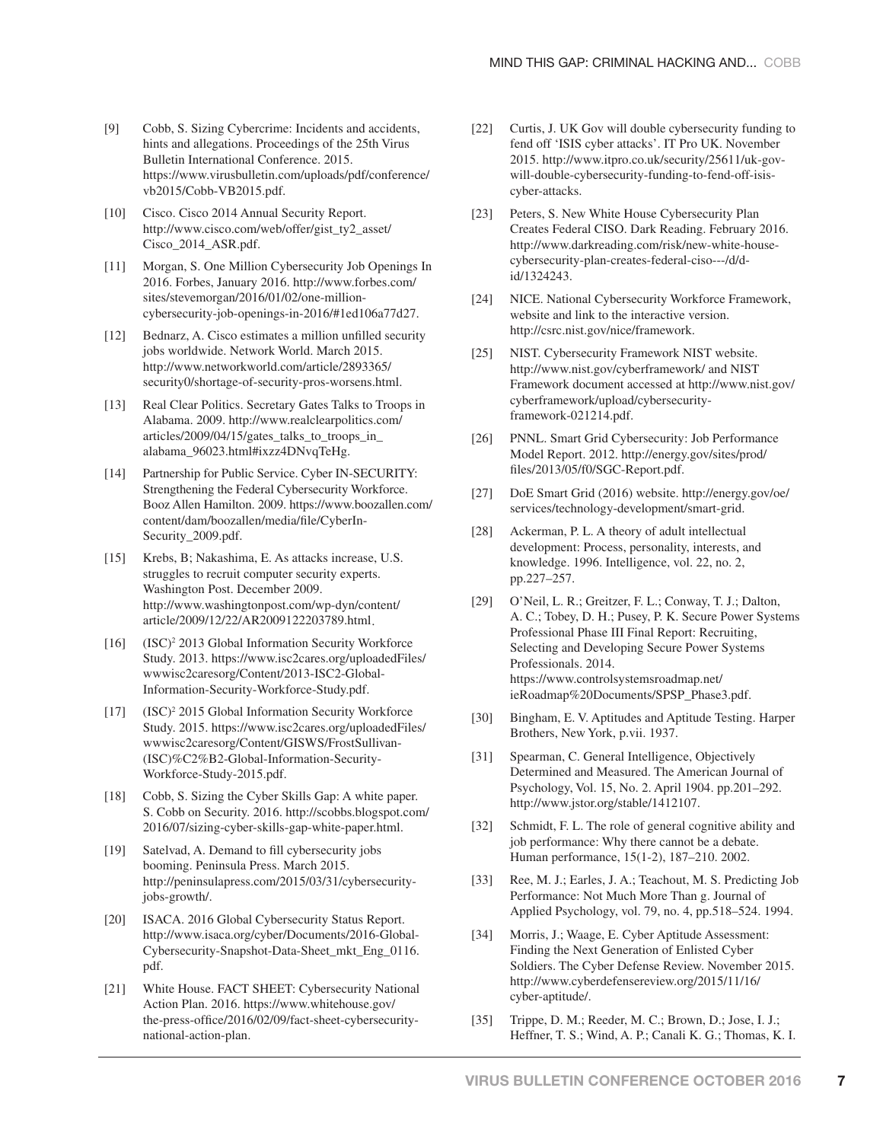- [9] Cobb, S. Sizing Cybercrime: Incidents and accidents, hints and allegations. Proceedings of the 25th Virus Bulletin International Conference. 2015. [https://www.virusbulletin.com/uploads/pdf/conference/](https://www.virusbulletin.com/uploads/pdf/conference/vb2015/Cobb-VB2015.pdf) vb2015/Cobb-VB2015.pdf.
- [10] Cisco. Cisco 2014 Annual Security Report. [http://www.cisco.com/web/offer/gist\\_ty2\\_asset/](http://www.cisco.com/web/offer/gist_ty2_asset/Cisco_2014_ASR.pdf) Cisco\_2014\_ASR.pdf.
- [11] [Morgan, S. One Million Cybersecurity Job Openings In](http://www.forbes.com/sites/stevemorgan/2016/01/02/one-million-cybersecurity-job-openings-in-2016/#1ed106a77d27) 2016. Forbes, January 2016. http://www.forbes.com/ sites/stevemorgan/2016/01/02/one-millioncybersecurity-job-openings-in-2016/#1ed106a77d27.
- [12] Bednarz, A. Cisco estimates a million unfilled security jobs worldwide. Network World. March 2015. http://www.networkworld.com/article/2893365/ [security0/shortage-of-security-pros-worsens.html.](http://www.networkworld.com/article/2893365/security0/shortage-of-security-pros-worsens.html)
- [13] [Real Clear Politics. Secretary Gates Talks to Troops in](http://www.realclearpolitics.com/articles/2009/04/15/gates_talks_to_troops_in_alabama_96023.html#ixzz4DNvqTeHg) Alabama. 2009. http://www.realclearpolitics.com/ articles/2009/04/15/gates\_talks\_to\_troops\_in\_ alabama\_96023.html#ixzz4DNvqTeHg.
- [14] Partnership for Public Service. Cyber IN-SECURITY: Strengthening the Federal Cybersecurity Workforce. [Booz Allen Hamilton. 2009. https://www.boozallen.com/](https://www.boozallen.com/content/dam/boozallen/media/file/CyberIn-Security_2009.pdf) content/dam/boozallen/media/fi le/CyberIn-Security\_2009.pdf.
- [15] [Krebs, B; Nakashima, E. As attacks increase, U.S.](http://www.washingtonpost.com/wp-dyn/content/article/2009/12/22/AR2009122203789.html) struggles to recruit computer security experts. Washington Post. December 2009. http://www.washingtonpost.com/wp-dyn/content/ article/2009/12/22/AR2009122203789.html .
- [16] (ISC)<sup>2</sup> 2013 Global Information Security Workforce [Study. 2013. https://www.isc2cares.org/uploadedFiles/](https://www.isc2cares.org/uploadedFiles/wwwisc2caresorg/Content/2013-ISC2-Global-Information-Security-Workforce-Study.pdf) wwwisc2caresorg/Content/2013-ISC2-Global-Information-Security-Workforce-Study.pdf.
- [17] (ISC)<sup>2</sup> 2015 Global Information Security Workforce [Study. 2015. https://www.isc2cares.org/uploadedFiles/](https://www.isc2cares.org/uploadedFiles/wwwisc2caresorg/Content/GISWS/FrostSullivan-(ISC)%C2%B2-Global-Information-Security-Workforce-Study-2015.pdf) wwwisc2caresorg/Content/GISWS/FrostSullivan- (ISC)%C2%B2-Global-Information-Security-Workforce-Study-2015.pdf.
- [18] Cobb, S. Sizing the Cyber Skills Gap: A white paper. [S. Cobb on Security. 2016. http://scobbs.blogspot.com/](http://scobbs.blogspot.com/2016/07/sizing-cyber-skills-gap-white-paper.html) 2016/07/sizing-cyber-skills-gap-white-paper.html.
- [19] Satelvad, A. Demand to fill cybersecurity jobs booming. Peninsula Press. March 2015. [http://peninsulapress.com/2015/03/31/cybersecurity](http://peninsulapress.com/2015/03/31/cybersecurity-jobs-growth/)jobs-growth/.
- [20] ISACA. 2016 Global Cybersecurity Status Report. http://www.isaca.org/cyber/Documents/2016-Global-[Cybersecurity-Snapshot-Data-Sheet\\_mkt\\_Eng\\_0116.](http://www.isaca.org/cyber/Documents/2016-Global-Cybersecurity-Snapshot-Data-Sheet_mkt_Eng_0116.pdf) pdf.
- [21] [White House. FACT SHEET: Cybersecurity National](https://www.whitehouse.gov/the-press-office/2016/02/09/fact-sheet-cybersecurity-national-action-plan) Action Plan. 2016. https://www.whitehouse.gov/ the-press-office/2016/02/09/fact-sheet-cybersecuritynational-action-plan.
- [22] [Curtis, J. UK Gov will double cybersecurity funding to](http://www.itpro.co.uk/security/25611/uk-gov-will-double-cybersecurity-funding-to-fend-off-isis-cyber-attacks) fend off 'ISIS cyber attacks'. IT Pro UK. November 2015. http://www.itpro.co.uk/security/25611/uk-govwill-double-cybersecurity-funding-to-fend-off-isiscyber-attacks.
- [23] Peters, S. New White House Cybersecurity Plan [Creates Federal CISO. Dark Reading. February 2016.](http://www.darkreading.com/risk/new-white-house-cybersecurity-plan-creates-federal-ciso---/d/d-id/1324243) http://www.darkreading.com/risk/new-white-housecybersecurity-plan-creates-federal-ciso---/d/did/1324243.
- [24] NICE. National Cybersecurity Workforce Framework, website and link to the interactive version. http://csrc.nist.gov/nice/framework.
- [25] NIST. Cybersecurity Framework NIST website. http://www.nist.gov/cyberframework/ and NIST [Framework document accessed at http://www.nist.gov/](http://www.nist.gov/cyberframework/upload/cybersecurity-framework-021214.pdf) cyberframework/upload/cybersecurityframework-021214.pdf.
- [26] [PNNL. Smart Grid Cybersecurity: Job Performance](http://energy.gov/sites/prod/files/2013/05/f0/SGC-Report.pdf) Model Report. 2012. http://energy.gov/sites/prod/ fi les/2013/05/f0/SGC-Report.pdf.
- [27] [DoE Smart Grid \(2016\) website. http://energy.gov/oe/](http://energy.gov/oe/services/technology-development/smart-grid) services/technology-development/smart-grid.
- [28] Ackerman, P. L. A theory of adult intellectual development: Process, personality, interests, and knowledge. 1996. Intelligence, vol. 22, no. 2, pp.227–257.
- [29] O'Neil, L. R.; Greitzer, F. L.; Conway, T. J.; Dalton, [A. C.; Tobey, D. H.; Pusey, P. K. Secure Power Systems](https://www.controlsystemsroadmap.net/ieRoadmap%20Documents/SPSP_Phase3.pdf) Professional Phase III Final Report: Recruiting, Selecting and Developing Secure Power Systems Professionals. 2014. https://www.controlsystemsroadmap.net/ ieRoadmap%20Documents/SPSP\_Phase3.pdf.
- [30] Bingham, E. V. Aptitudes and Aptitude Testing. Harper Brothers, New York, p.vii. 1937.
- [31] Spearman, C. General Intelligence, Objectively Determined and Measured. The American Journal of Psychology, Vol. 15, No. 2. April 1904. pp.201–292. http://www.jstor.org/stable/1412107.
- [32] Schmidt, F. L. The role of general cognitive ability and job performance: Why there cannot be a debate. Human performance, 15(1-2), 187–210. 2002.
- [33] Ree, M. J.; Earles, J. A.; Teachout, M. S. Predicting Job Performance: Not Much More Than g. Journal of Applied Psychology, vol. 79, no. 4, pp.518–524. 1994.
- [34] Morris, J.; Waage, E. Cyber Aptitude Assessment: Finding the Next Generation of Enlisted Cyber [Soldiers. The Cyber Defense Review. November 2015.](http://www.cyberdefensereview.org/2015/11/16/cyber-aptitude/) http://www.cyberdefensereview.org/2015/11/16/ cyber-aptitude/.
- [35] Trippe, D. M.; Reeder, M. C.; Brown, D.; Jose, I. J.; Heffner, T. S.; Wind, A. P.; Canali K. G.; Thomas, K. I.